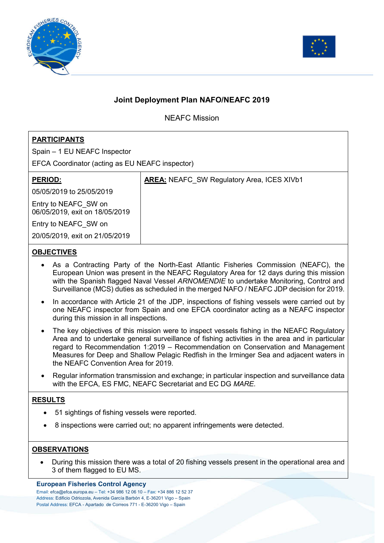



# **Joint Deployment Plan NAFO/NEAFC 2019**

NEAFC Mission

## **PARTICIPANTS**

Spain – 1 EU NEAFC Inspector

EFCA Coordinator (acting as EU NEAFC inspector)

| <b>PERIOD:</b>                                         | <b>AREA:</b> NEAFC SW Regulatory Area, ICES XIVb1 |
|--------------------------------------------------------|---------------------------------------------------|
| 05/05/2019 to 25/05/2019                               |                                                   |
| Entry to NEAFC SW on<br>06/05/2019, exit on 18/05/2019 |                                                   |
| Entry to NEAFC SW on                                   |                                                   |
| 20/05/2019, exit on 21/05/2019                         |                                                   |

### **OBJECTIVES**

- As a Contracting Party of the North-East Atlantic Fisheries Commission (NEAFC), the European Union was present in the NEAFC Regulatory Area for 12 days during this mission with the Spanish flagged Naval Vessel *ARNOMENDIE* to undertake Monitoring, Control and Surveillance (MCS) duties as scheduled in the merged NAFO / NEAFC JDP decision for 2019.
- In accordance with Article 21 of the JDP, inspections of fishing vessels were carried out by one NEAFC inspector from Spain and one EFCA coordinator acting as a NEAFC inspector during this mission in all inspections.
- The key objectives of this mission were to inspect vessels fishing in the NEAFC Regulatory Area and to undertake general surveillance of fishing activities in the area and in particular regard to Recommendation 1:2019 – Recommendation on Conservation and Management Measures for Deep and Shallow Pelagic Redfish in the Irminger Sea and adjacent waters in the NEAFC Convention Area for 2019.
- Regular information transmission and exchange; in particular inspection and surveillance data with the EFCA, ES FMC, NEAFC Secretariat and EC DG *MARE.*

### **RESULTS**

- 51 sightings of fishing vessels were reported.
- 8 inspections were carried out; no apparent infringements were detected.

### **OBSERVATIONS**

 During this mission there was a total of 20 fishing vessels present in the operational area and 3 of them flagged to EU MS.

#### **European Fisheries Control Agency**

Email: efca@efca.europa.eu – Tel: +34 986 12 06 10 – Fax: +34 886 12 52 37 Address: Edificio Odriozola, Avenida García Barbón 4, E-36201 Vigo – Spain Postal Address: EFCA - Apartado de Correos 771 - E-36200 Vigo – Spain